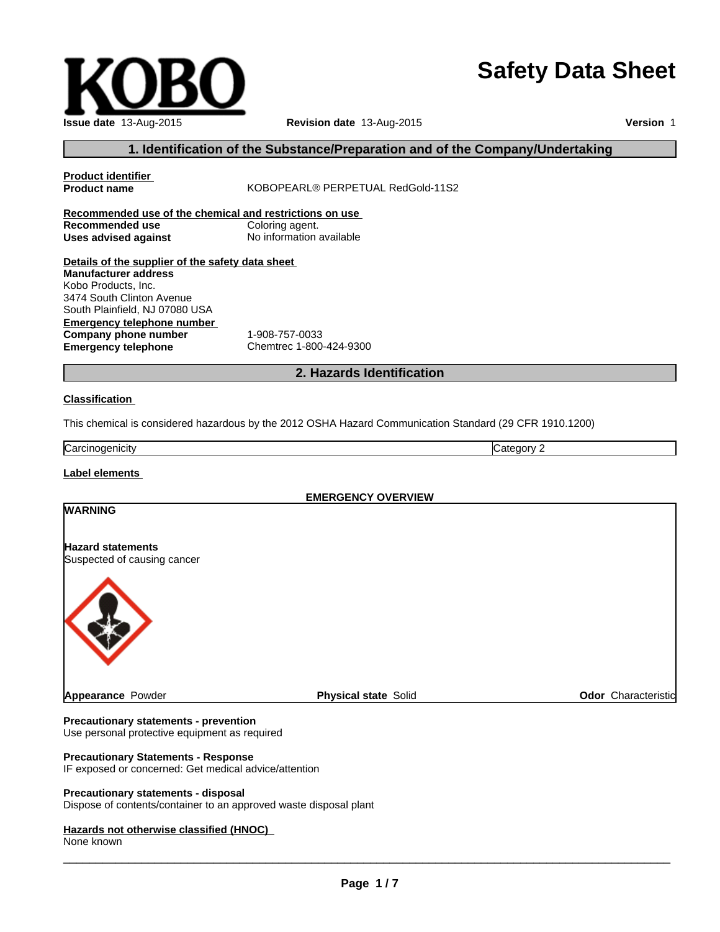# **Safety Data Sheet**

| Issue date 13-Aug-2015 | Revision date 13-Aug-2015 |
|------------------------|---------------------------|

٠

**Version** 1

# **1. Identification of the Substance/Preparation and of the Company/Undertaking**

| <b>Product identifier</b>                               |                                   |                                                                                                         |  |  |  |  |
|---------------------------------------------------------|-----------------------------------|---------------------------------------------------------------------------------------------------------|--|--|--|--|
| <b>Product name</b>                                     | KOBOPEARL® PERPETUAL RedGold-11S2 |                                                                                                         |  |  |  |  |
| Recommended use of the chemical and restrictions on use |                                   |                                                                                                         |  |  |  |  |
| Recommended use                                         | Coloring agent.                   |                                                                                                         |  |  |  |  |
| Uses advised against                                    | No information available          |                                                                                                         |  |  |  |  |
| Details of the supplier of the safety data sheet        |                                   |                                                                                                         |  |  |  |  |
| <b>Manufacturer address</b>                             |                                   |                                                                                                         |  |  |  |  |
| Kobo Products, Inc.                                     |                                   |                                                                                                         |  |  |  |  |
| 3474 South Clinton Avenue                               |                                   |                                                                                                         |  |  |  |  |
| South Plainfield, NJ 07080 USA                          |                                   |                                                                                                         |  |  |  |  |
| <b>Emergency telephone number</b>                       |                                   |                                                                                                         |  |  |  |  |
| Company phone number                                    | 1-908-757-0033                    |                                                                                                         |  |  |  |  |
| <b>Emergency telephone</b>                              | Chemtrec 1-800-424-9300           |                                                                                                         |  |  |  |  |
|                                                         | 2. Hazards Identification         |                                                                                                         |  |  |  |  |
| <b>Classification</b>                                   |                                   |                                                                                                         |  |  |  |  |
|                                                         |                                   | This chemical is considered hazardous by the 2012 OSHA Hazard Communication Standard (29 CFR 1910.1200) |  |  |  |  |
| Carcinogenicity                                         |                                   | Category 2                                                                                              |  |  |  |  |
| Label elements                                          |                                   |                                                                                                         |  |  |  |  |
|                                                         | <b>EMERGENCY OVERVIEW</b>         |                                                                                                         |  |  |  |  |
| <b>WARNING</b>                                          |                                   |                                                                                                         |  |  |  |  |

**Hazard statements** Suspected of causing cancer



**Appearance Powder Physical state Solid Physical state Solid Physical state Solid Physical state Solid Physical** 

#### **Precautionary statements - prevention**

Use personal protective equipment as required

# **Precautionary Statements - Response**

IF exposed or concerned: Get medical advice/attention

### **Precautionary statements - disposal**

Dispose of contents/container to an approved waste disposal plant

#### **Hazards not otherwise classified (HNOC)**

None known

 $\overline{\phantom{a}}$  ,  $\overline{\phantom{a}}$  ,  $\overline{\phantom{a}}$  ,  $\overline{\phantom{a}}$  ,  $\overline{\phantom{a}}$  ,  $\overline{\phantom{a}}$  ,  $\overline{\phantom{a}}$  ,  $\overline{\phantom{a}}$  ,  $\overline{\phantom{a}}$  ,  $\overline{\phantom{a}}$  ,  $\overline{\phantom{a}}$  ,  $\overline{\phantom{a}}$  ,  $\overline{\phantom{a}}$  ,  $\overline{\phantom{a}}$  ,  $\overline{\phantom{a}}$  ,  $\overline{\phantom{a}}$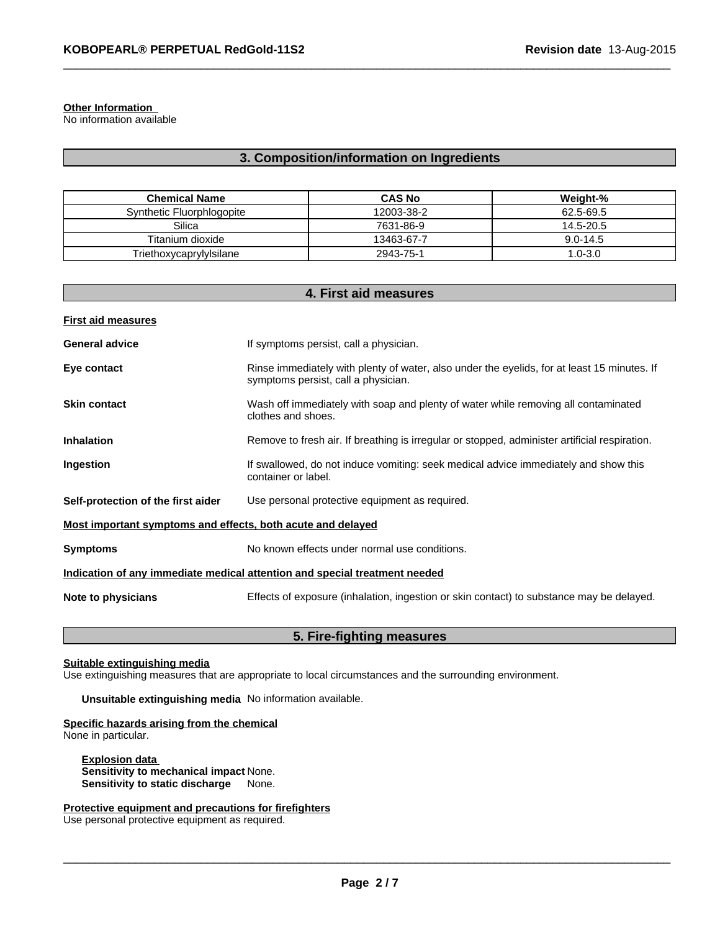#### **Other Information**

No information available

# **3. Composition/information on Ingredients**

 $\_$  ,  $\_$  ,  $\_$  ,  $\_$  ,  $\_$  ,  $\_$  ,  $\_$  ,  $\_$  ,  $\_$  ,  $\_$  ,  $\_$  ,  $\_$  ,  $\_$  ,  $\_$  ,  $\_$  ,  $\_$  ,  $\_$  ,  $\_$  ,  $\_$  ,  $\_$  ,  $\_$  ,  $\_$  ,  $\_$  ,  $\_$  ,  $\_$  ,  $\_$  ,  $\_$  ,  $\_$  ,  $\_$  ,  $\_$  ,  $\_$  ,  $\_$  ,  $\_$  ,  $\_$  ,  $\_$  ,  $\_$  ,  $\_$  ,

| <b>Chemical Name</b>      | <b>CAS No</b> | Weight-%     |
|---------------------------|---------------|--------------|
| Synthetic Fluorphlogopite | 12003-38-2    | 62.5-69.5    |
| Silica                    | 7631-86-9     | 14.5-20.5    |
| Titanium dioxide          | 13463-67-7    | $9.0 - 14.5$ |
| Triethoxycaprylylsilane   | 2943-75-1     | 1.0-3.0      |

| 4. First aid measures                                       |                                                                                                                                    |  |  |
|-------------------------------------------------------------|------------------------------------------------------------------------------------------------------------------------------------|--|--|
| <b>First aid measures</b>                                   |                                                                                                                                    |  |  |
| <b>General advice</b>                                       | If symptoms persist, call a physician.                                                                                             |  |  |
| Eye contact                                                 | Rinse immediately with plenty of water, also under the eyelids, for at least 15 minutes. If<br>symptoms persist, call a physician. |  |  |
| <b>Skin contact</b>                                         | Wash off immediately with soap and plenty of water while removing all contaminated<br>clothes and shoes.                           |  |  |
| <b>Inhalation</b>                                           | Remove to fresh air. If breathing is irregular or stopped, administer artificial respiration.                                      |  |  |
| Ingestion                                                   | If swallowed, do not induce vomiting: seek medical advice immediately and show this<br>container or label.                         |  |  |
| Self-protection of the first aider                          | Use personal protective equipment as required.                                                                                     |  |  |
| Most important symptoms and effects, both acute and delayed |                                                                                                                                    |  |  |
| <b>Symptoms</b>                                             | No known effects under normal use conditions.                                                                                      |  |  |
|                                                             | Indication of any immediate medical attention and special treatment needed                                                         |  |  |
| Note to physicians                                          | Effects of exposure (inhalation, ingestion or skin contact) to substance may be delayed.                                           |  |  |
|                                                             |                                                                                                                                    |  |  |

# **5. Fire-fighting measures**

# **Suitable extinguishing media**

Use extinguishing measures that are appropriate to local circumstances and the surrounding environment.

**Unsuitable extinguishing media** No information available.

# **Specific hazards arising from the chemical**

None in particular.

**Explosion data Sensitivity to mechanical impact** None. **Sensitivity to static discharge** None.

**Protective equipment and precautions for firefighters**

Use personal protective equipment as required.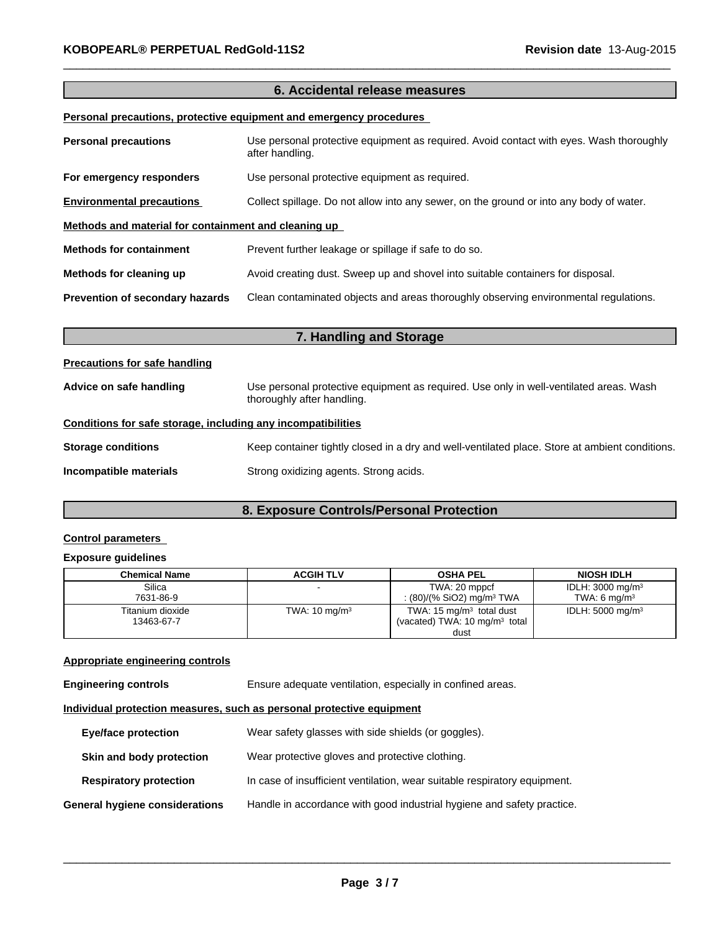# **6. Accidental release measures**

 $\_$  ,  $\_$  ,  $\_$  ,  $\_$  ,  $\_$  ,  $\_$  ,  $\_$  ,  $\_$  ,  $\_$  ,  $\_$  ,  $\_$  ,  $\_$  ,  $\_$  ,  $\_$  ,  $\_$  ,  $\_$  ,  $\_$  ,  $\_$  ,  $\_$  ,  $\_$  ,  $\_$  ,  $\_$  ,  $\_$  ,  $\_$  ,  $\_$  ,  $\_$  ,  $\_$  ,  $\_$  ,  $\_$  ,  $\_$  ,  $\_$  ,  $\_$  ,  $\_$  ,  $\_$  ,  $\_$  ,  $\_$  ,  $\_$  ,

## **Personal precautions, protective equipment and emergency procedures**

| <b>Personal precautions</b>                          | Use personal protective equipment as required. Avoid contact with eyes. Wash thoroughly<br>after handling. |  |  |  |
|------------------------------------------------------|------------------------------------------------------------------------------------------------------------|--|--|--|
| For emergency responders                             | Use personal protective equipment as required.                                                             |  |  |  |
| <b>Environmental precautions</b>                     | Collect spillage. Do not allow into any sewer, on the ground or into any body of water.                    |  |  |  |
| Methods and material for containment and cleaning up |                                                                                                            |  |  |  |
| <b>Methods for containment</b>                       | Prevent further leakage or spillage if safe to do so.                                                      |  |  |  |
| Methods for cleaning up                              | Avoid creating dust. Sweep up and shovel into suitable containers for disposal.                            |  |  |  |
| Prevention of secondary hazards                      | Clean contaminated objects and areas thoroughly observing environmental regulations.                       |  |  |  |

| 7. Handling and Storage                                                                                                                         |                                                                                                |  |  |
|-------------------------------------------------------------------------------------------------------------------------------------------------|------------------------------------------------------------------------------------------------|--|--|
| <b>Precautions for safe handling</b>                                                                                                            |                                                                                                |  |  |
| Use personal protective equipment as required. Use only in well-ventilated areas. Wash<br>Advice on safe handling<br>thoroughly after handling. |                                                                                                |  |  |
| Conditions for safe storage, including any incompatibilities                                                                                    |                                                                                                |  |  |
| <b>Storage conditions</b>                                                                                                                       | Keep container tightly closed in a dry and well-ventilated place. Store at ambient conditions. |  |  |
| Incompatible materials                                                                                                                          | Strong oxidizing agents. Strong acids.                                                         |  |  |

# **8. Exposure Controls/Personal Protection**

# **Control parameters**

# **Exposure guidelines**

| <b>Chemical Name</b> | <b>ACGIH TLV</b>         | <b>OSHA PEL</b>                          | <b>NIOSH IDLH</b>           |
|----------------------|--------------------------|------------------------------------------|-----------------------------|
| Silica               |                          | TWA: 20 mppcf                            | IDLH: $3000 \text{ mg/m}^3$ |
| 7631-86-9            |                          | : (80)/(% SiO2) mg/m <sup>3</sup> TWA    | TWA: 6 $ma/m3$              |
| Titanium dioxide     | TWA: $10 \text{ mg/m}^3$ | TWA: $15 \text{ mg/m}^3$ total dust      | IDLH: $5000 \text{ mg/m}^3$ |
| 13463-67-7           |                          | (vacated) TWA: $10 \text{ mg/m}^3$ total |                             |
|                      |                          | dust                                     |                             |

# **Appropriate engineering controls**

| <b>Engineering controls</b>                                           | Ensure adequate ventilation, especially in confined areas.                |  |  |
|-----------------------------------------------------------------------|---------------------------------------------------------------------------|--|--|
| Individual protection measures, such as personal protective equipment |                                                                           |  |  |
| <b>Eye/face protection</b>                                            | Wear safety glasses with side shields (or goggles).                       |  |  |
| Skin and body protection                                              | Wear protective gloves and protective clothing.                           |  |  |
| <b>Respiratory protection</b>                                         | In case of insufficient ventilation, wear suitable respiratory equipment. |  |  |
| <b>General hygiene considerations</b>                                 | Handle in accordance with good industrial hygiene and safety practice.    |  |  |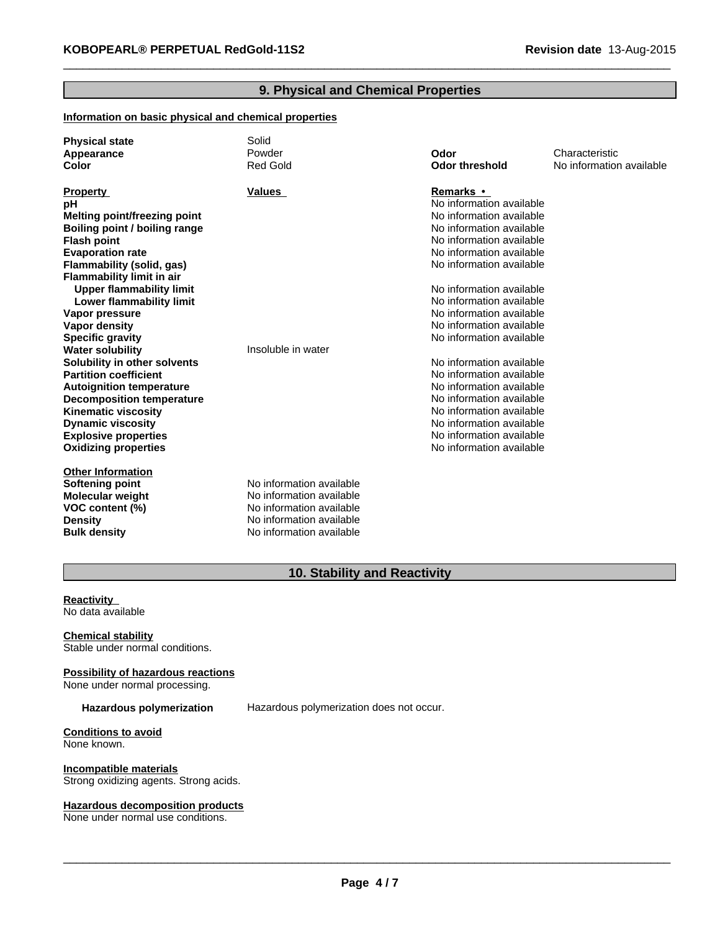# **9. Physical and Chemical Properties**

 $\_$  ,  $\_$  ,  $\_$  ,  $\_$  ,  $\_$  ,  $\_$  ,  $\_$  ,  $\_$  ,  $\_$  ,  $\_$  ,  $\_$  ,  $\_$  ,  $\_$  ,  $\_$  ,  $\_$  ,  $\_$  ,  $\_$  ,  $\_$  ,  $\_$  ,  $\_$  ,  $\_$  ,  $\_$  ,  $\_$  ,  $\_$  ,  $\_$  ,  $\_$  ,  $\_$  ,  $\_$  ,  $\_$  ,  $\_$  ,  $\_$  ,  $\_$  ,  $\_$  ,  $\_$  ,  $\_$  ,  $\_$  ,  $\_$  ,

# **Information on basic physical and chemical properties**

| <b>Physical state</b>            | Solid                    |                          |                          |
|----------------------------------|--------------------------|--------------------------|--------------------------|
| Appearance                       | Powder                   | Odor                     | Characteristic           |
| Color                            | <b>Red Gold</b>          | <b>Odor threshold</b>    | No information available |
|                                  |                          |                          |                          |
| <b>Property</b>                  | Values                   | Remarks •                |                          |
| рH                               |                          | No information available |                          |
| Melting point/freezing point     |                          | No information available |                          |
| Boiling point / boiling range    |                          | No information available |                          |
| <b>Flash point</b>               |                          | No information available |                          |
| <b>Evaporation rate</b>          |                          | No information available |                          |
| Flammability (solid, gas)        |                          | No information available |                          |
| <b>Flammability limit in air</b> |                          |                          |                          |
| <b>Upper flammability limit</b>  |                          | No information available |                          |
| Lower flammability limit         |                          | No information available |                          |
| Vapor pressure                   |                          | No information available |                          |
| <b>Vapor density</b>             |                          | No information available |                          |
| <b>Specific gravity</b>          |                          | No information available |                          |
| <b>Water solubility</b>          | Insoluble in water       |                          |                          |
| Solubility in other solvents     |                          | No information available |                          |
| <b>Partition coefficient</b>     |                          | No information available |                          |
| <b>Autoignition temperature</b>  |                          | No information available |                          |
| <b>Decomposition temperature</b> |                          | No information available |                          |
| <b>Kinematic viscosity</b>       |                          | No information available |                          |
| <b>Dynamic viscosity</b>         |                          | No information available |                          |
| <b>Explosive properties</b>      |                          | No information available |                          |
| <b>Oxidizing properties</b>      |                          | No information available |                          |
|                                  |                          |                          |                          |
| <b>Other Information</b>         |                          |                          |                          |
| <b>Softening point</b>           | No information available |                          |                          |
| <b>Molecular weight</b>          | No information available |                          |                          |
| VOC content (%)                  | No information available |                          |                          |
| <b>Density</b>                   | No information available |                          |                          |
| <b>Bulk density</b>              | No information available |                          |                          |

# **10. Stability and Reactivity**

**Reactivity**  No data available

**Chemical stability** Stable under normal conditions.

**Possibility of hazardous reactions** None under normal processing.

**Hazardous polymerization** Hazardous polymerization does not occur.

**Conditions to avoid** None known.

**Incompatible materials** Strong oxidizing agents. Strong acids.

#### **Hazardous decomposition products**

None under normal use conditions.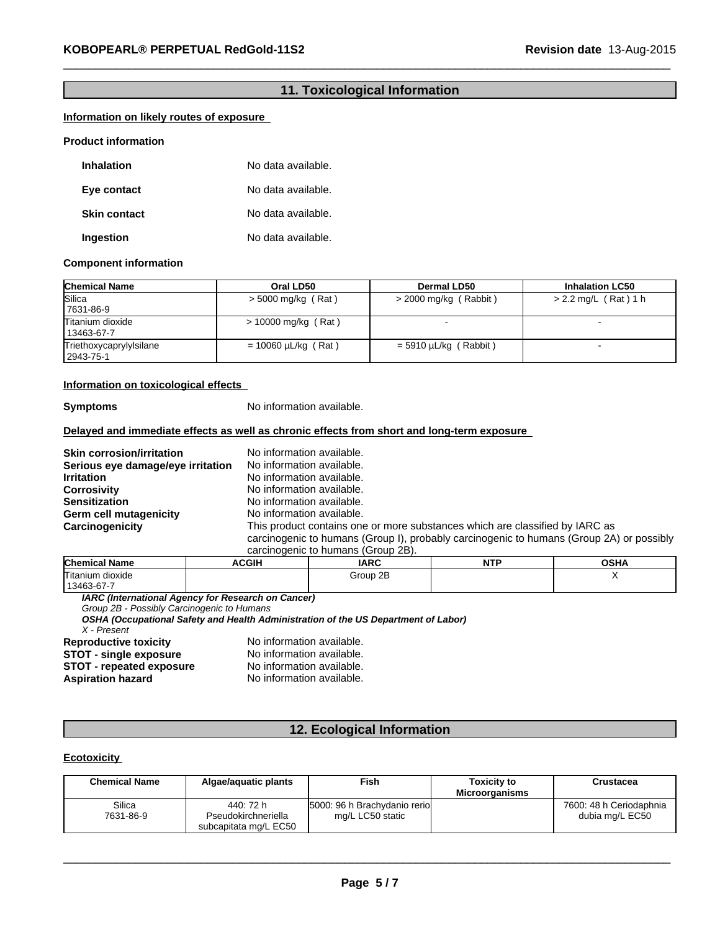# **11. Toxicological Information**

 $\_$  ,  $\_$  ,  $\_$  ,  $\_$  ,  $\_$  ,  $\_$  ,  $\_$  ,  $\_$  ,  $\_$  ,  $\_$  ,  $\_$  ,  $\_$  ,  $\_$  ,  $\_$  ,  $\_$  ,  $\_$  ,  $\_$  ,  $\_$  ,  $\_$  ,  $\_$  ,  $\_$  ,  $\_$  ,  $\_$  ,  $\_$  ,  $\_$  ,  $\_$  ,  $\_$  ,  $\_$  ,  $\_$  ,  $\_$  ,  $\_$  ,  $\_$  ,  $\_$  ,  $\_$  ,  $\_$  ,  $\_$  ,  $\_$  ,

#### **Information on likely routes of exposure**

#### **Product information**

| <b>Inhalation</b>   | No data available. |
|---------------------|--------------------|
| Eye contact         | No data available. |
| <b>Skin contact</b> | No data available. |
| Ingestion           | No data available. |

#### **Component information**

| <b>Chemical Name</b>                 | Oral LD50                | Dermal LD50             | <b>Inhalation LC50</b> |
|--------------------------------------|--------------------------|-------------------------|------------------------|
| Silica<br>7631-86-9                  | $>$ 5000 mg/kg (Rat)     | $>$ 2000 mg/kg (Rabbit) | $> 2.2$ mg/L (Rat) 1 h |
| Titanium dioxide<br>13463-67-7       | $> 10000$ mg/kg (Rat)    |                         |                        |
| Triethoxycaprylylsilane<br>2943-75-1 | $= 10060 \mu L/kg$ (Rat) | $=$ 5910 µL/kg (Rabbit) |                        |

#### **Information on toxicological effects**

**Symptoms** No information available.

#### **Delayed and immediate effects as well as chronic effects from short and long-term exposure**

**Skin corrosion/irritation** No information available.<br>**Serious eve damage/eve irritation** No information available. **Serious eye damage/eye irritation Irritation**<br> **Corrosivity** No information available.<br>
No information available. **Corrosivity Corrosivity No information available.**<br> **Sensitization** Moinformation available. **Germ cell mutagenicity** 

# No information available.<br>No information available. **Carcinogenicity** This product contains one or more substances which are classified by IARC as carcinogenic to humans (Group I), probably carcinogenic to humans (Group 2A) or possibly

| carcinogenic to humans (Group 2B). |  |  |
|------------------------------------|--|--|

| <b>Chemical</b><br>Name | <b>ACGIH</b> | <b>IARC</b> | <b>NITD</b><br>. | OCDA<br>UJNA |
|-------------------------|--------------|-------------|------------------|--------------|
| Titanium dioxide        |              | Group 2B    |                  |              |
| $\sim$<br>13463         |              |             |                  |              |

*IARC (International Agency for Research on Cancer)*

*Group 2B - Possibly Carcinogenic to Humans*

*OSHA (Occupational Safety and Health Administration of the US Department of Labor)*

*X - Present*

**STOT - repeated exposure<br>Aspiration hazard** 

**Reproductive toxicity** No information available.<br>**STOT - single exposure** No information available. **STOT - single exposure** No information available.<br> **STOT - repeated exposure** No information available. No information available.

# **12. Ecological Information**

# **Ecotoxicity**

| <b>Chemical Name</b> | Algae/aguatic plants             | Fish                                             | <b>Toxicity to</b><br><b>Microorganisms</b> | Crustacea                                  |
|----------------------|----------------------------------|--------------------------------------------------|---------------------------------------------|--------------------------------------------|
| Silica<br>7631-86-9  | 440: 72 h<br>Pseudokirchneriella | 5000: 96 h Brachydanio rerio<br>mg/L LC50 static |                                             | 7600: 48 h Ceriodaphnia<br>dubia mg/L EC50 |
|                      | subcapitata mg/L EC50            |                                                  |                                             |                                            |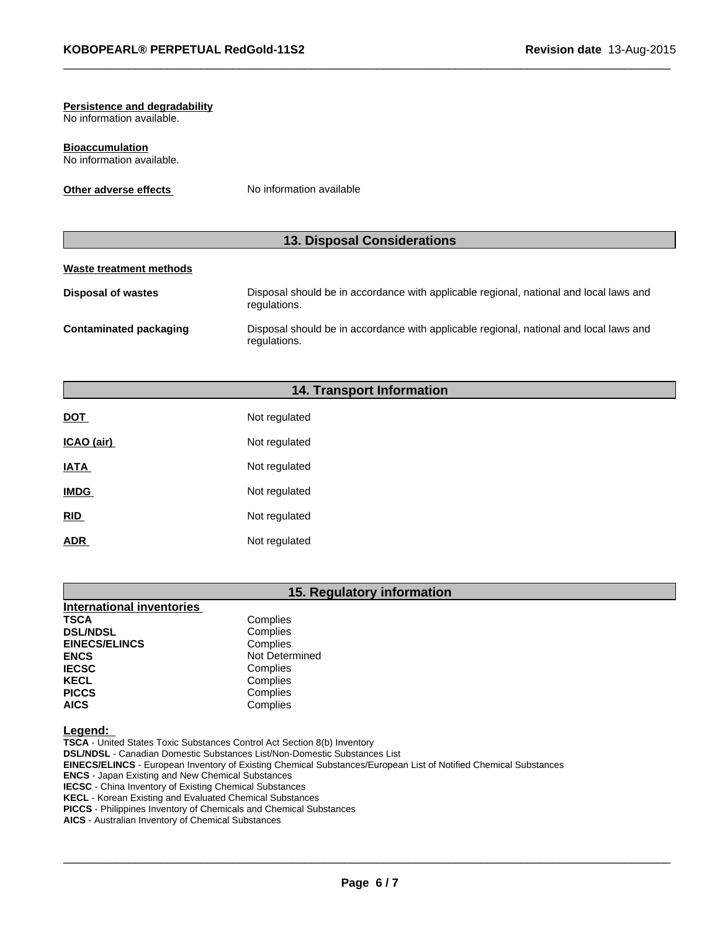# **Persistence and degradability**

No information available.

**Bioaccumulation** No information available.

**Other adverse effects** No information available

# **13. Disposal Considerations**

# **Waste treatment methods**

| Disposal of wastes     | Disposal should be in accordance with applicable regional, national and local laws and<br>regulations. |
|------------------------|--------------------------------------------------------------------------------------------------------|
| Contaminated packaging | Disposal should be in accordance with applicable regional, national and local laws and<br>regulations. |

 $\_$  ,  $\_$  ,  $\_$  ,  $\_$  ,  $\_$  ,  $\_$  ,  $\_$  ,  $\_$  ,  $\_$  ,  $\_$  ,  $\_$  ,  $\_$  ,  $\_$  ,  $\_$  ,  $\_$  ,  $\_$  ,  $\_$  ,  $\_$  ,  $\_$  ,  $\_$  ,  $\_$  ,  $\_$  ,  $\_$  ,  $\_$  ,  $\_$  ,  $\_$  ,  $\_$  ,  $\_$  ,  $\_$  ,  $\_$  ,  $\_$  ,  $\_$  ,  $\_$  ,  $\_$  ,  $\_$  ,  $\_$  ,  $\_$  ,

# **14. Transport Information**

| <b>DOT</b>  | Not regulated |
|-------------|---------------|
| ICAO (air)  | Not regulated |
| <b>IATA</b> | Not regulated |
| <b>IMDG</b> | Not regulated |
| RID         | Not regulated |
| <b>ADR</b>  | Not regulated |

# **15. Regulatory information**

| <b>International inventories</b> |                |
|----------------------------------|----------------|
| <b>TSCA</b>                      | Complies       |
| <b>DSL/NDSL</b>                  | Complies       |
| <b>EINECS/ELINCS</b>             | Complies       |
| <b>ENCS</b>                      | Not Determined |
| <b>IECSC</b>                     | Complies       |
| <b>KECL</b>                      | Complies       |
| <b>PICCS</b>                     | Complies       |
| <b>AICS</b>                      | Complies       |

**Legend:** 

**TSCA** - United States Toxic Substances Control Act Section 8(b) Inventory **DSL/NDSL** - Canadian Domestic Substances List/Non-Domestic Substances List **EINECS/ELINCS** - European Inventory of Existing Chemical Substances/European List of Notified Chemical Substances **ENCS** - Japan Existing and New Chemical Substances **IECSC** - China Inventory of Existing Chemical Substances **KECL** - Korean Existing and Evaluated Chemical Substances **PICCS** - Philippines Inventory of Chemicals and Chemical Substances **AICS** - Australian Inventory of Chemical Substances